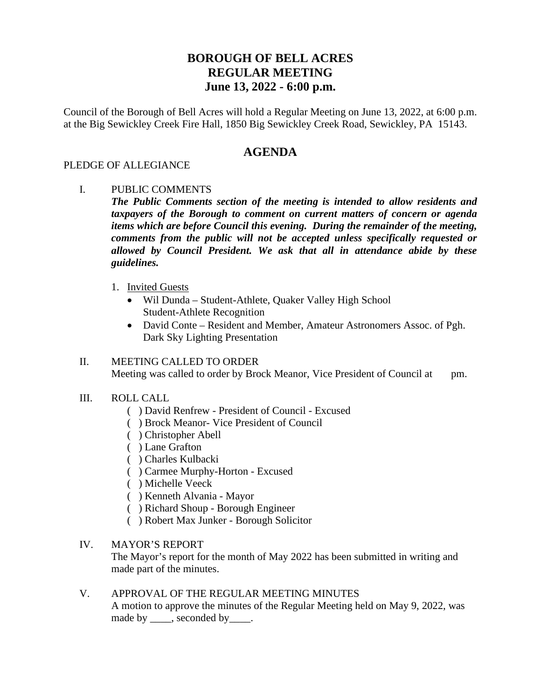# **BOROUGH OF BELL ACRES REGULAR MEETING June 13, 2022 - 6:00 p.m.**

Council of the Borough of Bell Acres will hold a Regular Meeting on June 13, 2022, at 6:00 p.m. at the Big Sewickley Creek Fire Hall, 1850 Big Sewickley Creek Road, Sewickley, PA 15143.

## **AGENDA**

#### PLEDGE OF ALLEGIANCE

I. PUBLIC COMMENTS

*The Public Comments section of the meeting is intended to allow residents and taxpayers of the Borough to comment on current matters of concern or agenda items which are before Council this evening. During the remainder of the meeting, comments from the public will not be accepted unless specifically requested or allowed by Council President. We ask that all in attendance abide by these guidelines.*

- 1. Invited Guests
	- Wil Dunda Student-Athlete, Quaker Valley High School Student-Athlete Recognition
	- David Conte Resident and Member, Amateur Astronomers Assoc. of Pgh. Dark Sky Lighting Presentation

#### II. MEETING CALLED TO ORDER Meeting was called to order by Brock Meanor, Vice President of Council at pm.

- III. ROLL CALL
	- ( ) David Renfrew President of Council Excused
	- ( ) Brock Meanor- Vice President of Council
	- ( ) Christopher Abell
	- ( ) Lane Grafton
	- ( ) Charles Kulbacki
	- ( ) Carmee Murphy-Horton Excused
	- ( ) Michelle Veeck
	- ( ) Kenneth Alvania Mayor
	- ( ) Richard Shoup Borough Engineer
	- ( ) Robert Max Junker Borough Solicitor

#### IV. MAYOR'S REPORT

The Mayor's report for the month of May 2022 has been submitted in writing and made part of the minutes.

#### V. APPROVAL OF THE REGULAR MEETING MINUTES

A motion to approve the minutes of the Regular Meeting held on May 9, 2022, was made by \_\_\_\_\_, seconded by \_\_\_\_\_.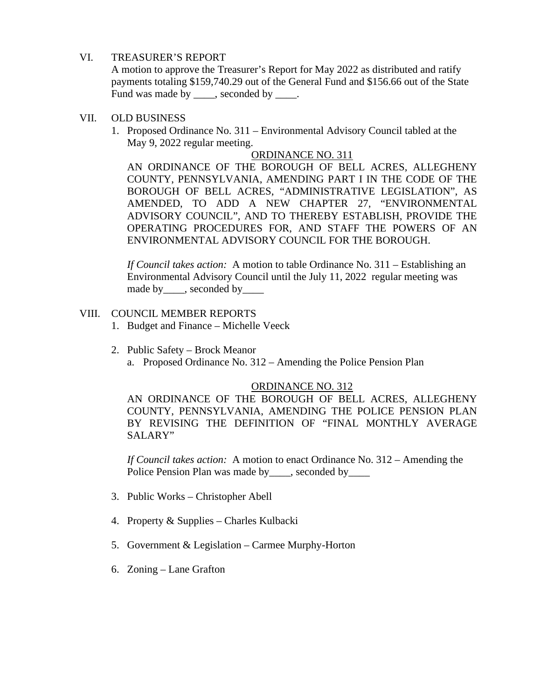#### VI. TREASURER'S REPORT

A motion to approve the Treasurer's Report for May 2022 as distributed and ratify payments totaling \$159,740.29 out of the General Fund and \$156.66 out of the State Fund was made by \_\_\_\_, seconded by \_\_\_\_.

#### VII. OLD BUSINESS

1. Proposed Ordinance No. 311 – Environmental Advisory Council tabled at the May 9, 2022 regular meeting.

#### ORDINANCE NO. 311

AN ORDINANCE OF THE BOROUGH OF BELL ACRES, ALLEGHENY COUNTY, PENNSYLVANIA, AMENDING PART I IN THE CODE OF THE BOROUGH OF BELL ACRES, "ADMINISTRATIVE LEGISLATION", AS AMENDED, TO ADD A NEW CHAPTER 27, "ENVIRONMENTAL ADVISORY COUNCIL", AND TO THEREBY ESTABLISH, PROVIDE THE OPERATING PROCEDURES FOR, AND STAFF THE POWERS OF AN ENVIRONMENTAL ADVISORY COUNCIL FOR THE BOROUGH.

*If Council takes action:* A motion to table Ordinance No. 311 – Establishing an Environmental Advisory Council until the July 11, 2022 regular meeting was made by\_\_\_\_, seconded by\_\_\_\_

#### VIII. COUNCIL MEMBER REPORTS

- 1. Budget and Finance Michelle Veeck
- 2. Public Safety Brock Meanor a. Proposed Ordinance No. 312 – Amending the Police Pension Plan

### ORDINANCE NO. 312

AN ORDINANCE OF THE BOROUGH OF BELL ACRES, ALLEGHENY COUNTY, PENNSYLVANIA, AMENDING THE POLICE PENSION PLAN BY REVISING THE DEFINITION OF "FINAL MONTHLY AVERAGE SALARY"

*If Council takes action:* A motion to enact Ordinance No. 312 – Amending the Police Pension Plan was made by seconded by

- 3. Public Works Christopher Abell
- 4. Property & Supplies Charles Kulbacki
- 5. Government & Legislation Carmee Murphy-Horton
- 6. Zoning Lane Grafton